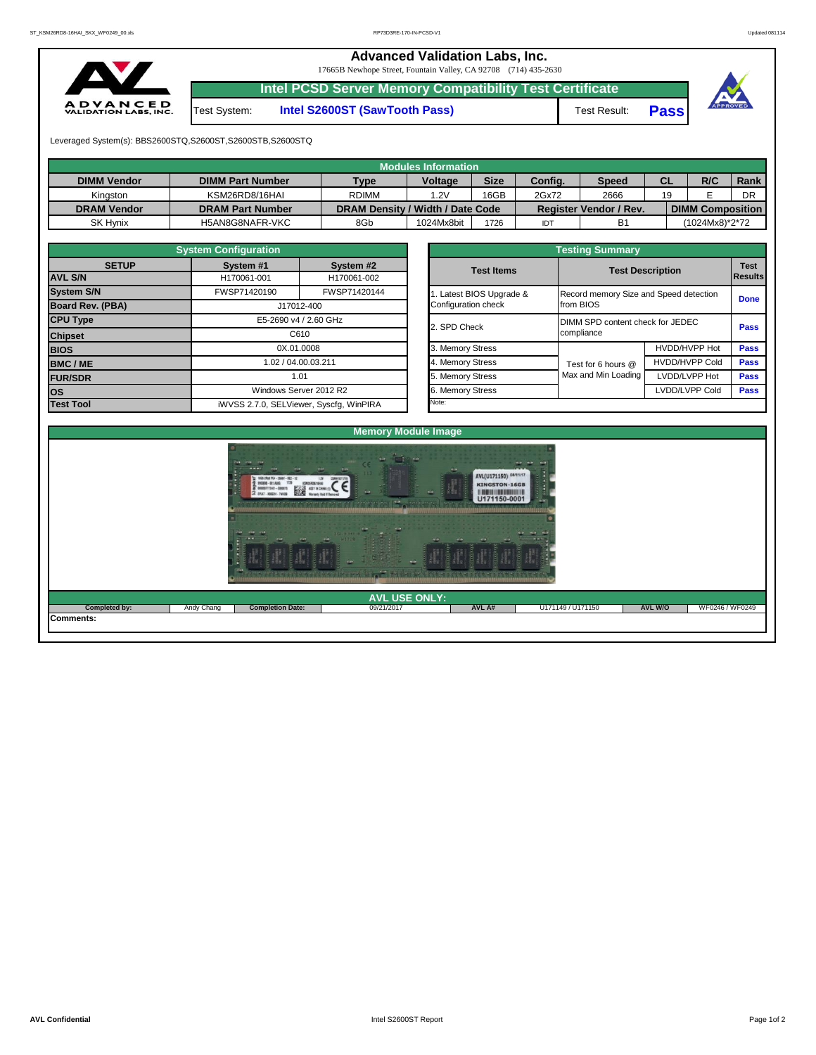## **Advanced Validation Labs, Inc.**

17665B Newhope Street, Fountain Valley, CA 92708 (714) 435-2630



Test System: **Intel S2600ST (SawTooth Pass)** Test Result: **Pass**

**Intel PCSD Server Memory Compatibility Test Certificate**



Leveraged System(s): BBS2600STQ,S2600ST,S2600STB,S2600STQ

|                    |                         |                                  | Modules Information |             |         |                               |           |                         |      |
|--------------------|-------------------------|----------------------------------|---------------------|-------------|---------|-------------------------------|-----------|-------------------------|------|
| <b>DIMM Vendor</b> | <b>DIMM Part Number</b> | <b>Type</b>                      | <b>Voltage</b>      | <b>Size</b> | Config. | <b>Speed</b>                  | <b>CL</b> | R/C                     | Rank |
| Kinaston           | KSM26RD8/16HAI          | <b>RDIMM</b>                     | .2V                 | 16GB        | 2Gx72   | 2666                          | 19        |                         | DR   |
| <b>DRAM Vendor</b> | <b>DRAM Part Number</b> | DRAM Density / Width / Date Code |                     |             |         | <b>Register Vendor / Rev.</b> |           | <b>DIMM Composition</b> |      |
| <b>SK Hynix</b>    | H5AN8G8NAFR-VKC         | 8Gb                              | 1024Mx8bit          | 1726        | IDT     | <b>B1</b>                     |           | (1024Mx8)*2*72          |      |

|                         | <b>System Configuration</b>             |                        |  |                       |                                        |                         |             |  |
|-------------------------|-----------------------------------------|------------------------|--|-----------------------|----------------------------------------|-------------------------|-------------|--|
| <b>SETUP</b>            | System #1                               | System #2              |  | <b>Test Items</b>     |                                        | <b>Test Description</b> | <b>Test</b> |  |
| <b>AVL S/N</b>          | H170061-001                             | H170061-002            |  |                       |                                        |                         | Results     |  |
| <b>System S/N</b>       | FWSP71420190                            | FWSP71420144           |  | Latest BIOS Upgrade & | Record memory Size and Speed detection |                         | <b>Done</b> |  |
| <b>Board Rev. (PBA)</b> |                                         | J17012-400             |  | Configuration check   | from BIOS                              |                         |             |  |
| <b>CPU Type</b>         |                                         | E5-2690 v4 / 2.60 GHz  |  | 2. SPD Check          | DIMM SPD content check for JEDEC       |                         | <b>Pass</b> |  |
| <b>Chipset</b>          | C610                                    |                        |  |                       | compliance                             |                         |             |  |
| <b>BIOS</b>             | 0X.01.0008                              |                        |  | 3. Memory Stress      |                                        | HVDD/HVPP Hot           | <b>Pass</b> |  |
| <b>BMC/ME</b>           | 1.02 / 04.00.03.211                     |                        |  | 4. Memory Stress      | Test for 6 hours @                     | <b>HVDD/HVPP Cold</b>   | <b>Pass</b> |  |
| <b>FUR/SDR</b>          |                                         | 1.01                   |  | 5. Memory Stress      | Max and Min Loading                    | LVDD/LVPP Hot           | <b>Pass</b> |  |
| <b>los</b>              |                                         | Windows Server 2012 R2 |  | 6. Memory Stress      |                                        | LVDD/LVPP Cold          | <b>Pass</b> |  |
| <b>Test Tool</b>        | iWVSS 2.7.0, SELViewer, Syscfq, WinPIRA |                        |  | Note:                 |                                        |                         |             |  |

| <b>System Configuration</b> |                                                       |                                    |                  | <b>Testing Summary</b> |                                        |                               |             |  |  |  |  |  |  |
|-----------------------------|-------------------------------------------------------|------------------------------------|------------------|------------------------|----------------------------------------|-------------------------------|-------------|--|--|--|--|--|--|
| <b>SETUP</b>                | System #1<br>H170061-001                              | System #2<br>H170061-002           |                  | <b>Test Items</b>      | <b>Test Description</b>                | <b>Test</b><br><b>Results</b> |             |  |  |  |  |  |  |
|                             | FWSP71420190                                          | FWSP71420144                       |                  | Latest BIOS Upgrade &  | Record memory Size and Speed detection |                               | <b>Done</b> |  |  |  |  |  |  |
| PBA)                        |                                                       | J17012-400                         |                  | Configuration check    | from BIOS                              |                               |             |  |  |  |  |  |  |
|                             |                                                       | E5-2690 v4 / 2.60 GHz              |                  | 2. SPD Check           | DIMM SPD content check for JEDEC       | <b>Pass</b>                   |             |  |  |  |  |  |  |
|                             |                                                       | C610                               |                  |                        | compliance                             |                               |             |  |  |  |  |  |  |
|                             |                                                       | 0X.01.0008                         |                  | 3. Memory Stress       |                                        | HVDD/HVPP Hot                 | <b>Pass</b> |  |  |  |  |  |  |
|                             |                                                       |                                    |                  | 4. Memory Stress       | Test for 6 hours @                     | <b>HVDD/HVPP Cold</b>         | <b>Pass</b> |  |  |  |  |  |  |
|                             |                                                       |                                    |                  | 5. Memory Stress       | Max and Min Loading                    | LVDD/LVPP Hot                 | <b>Pass</b> |  |  |  |  |  |  |
|                             | 1.02 / 04.00.03.211<br>1.01<br>Windows Server 2012 R2 |                                    | 6. Memory Stress |                        | LVDD/LVPP Cold                         | Pass                          |             |  |  |  |  |  |  |
|                             |                                                       | iMVSS 270 SELViewer Svecta WinPIRA |                  | Note:                  |                                        |                               |             |  |  |  |  |  |  |